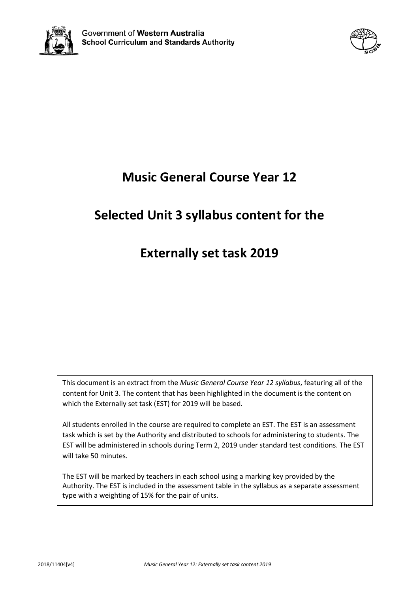



# **Music General Course Year 12**

# **Selected Unit 3 syllabus content for the**

## **Externally set task 2019**

This document is an extract from the *Music General Course Year 12 syllabus*, featuring all of the content for Unit 3. The content that has been highlighted in the document is the content on which the Externally set task (EST) for 2019 will be based.

All students enrolled in the course are required to complete an EST. The EST is an assessment task which is set by the Authority and distributed to schools for administering to students. The EST will be administered in schools during Term 2, 2019 under standard test conditions. The EST will take 50 minutes.

The EST will be marked by teachers in each school using a marking key provided by the Authority. The EST is included in the assessment table in the syllabus as a separate assessment type with a weighting of 15% for the pair of units.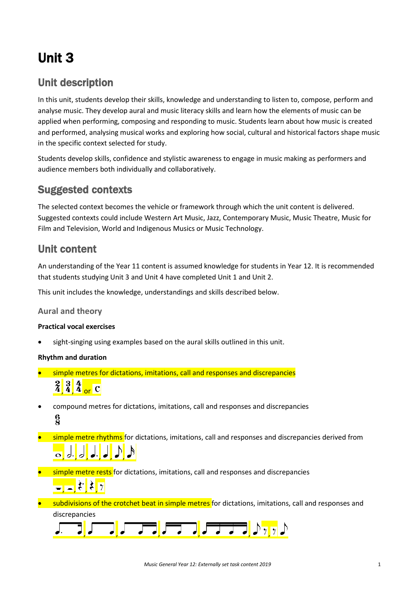# Unit 3

### Unit description

In this unit, students develop their skills, knowledge and understanding to listen to, compose, perform and analyse music. They develop aural and music literacy skills and learn how the elements of music can be applied when performing, composing and responding to music. Students learn about how music is created and performed, analysing musical works and exploring how social, cultural and historical factors shape music in the specific context selected for study.

Students develop skills, confidence and stylistic awareness to engage in music making as performers and audience members both individually and collaboratively.

### Suggested contexts

The selected context becomes the vehicle or framework through which the unit content is delivered. Suggested contexts could include Western Art Music, Jazz, Contemporary Music, Music Theatre, Music for Film and Television, World and Indigenous Musics or Music Technology.

### Unit content

An understanding of the Year 11 content is assumed knowledge for students in Year 12. It is recommended that students studying Unit 3 and Unit 4 have completed Unit 1 and Unit 2.

This unit includes the knowledge, understandings and skills described below.

#### **Aural and theory**

#### **Practical vocal exercises**

• sight-singing using examples based on the aural skills outlined in this unit.

#### **Rhythm and duration**

- simple metres for dictations, imitations, call and responses and discrepancies  $\frac{2}{4}$  $\frac{3}{4}$  $\frac{4}{4}$  or C
- compound metres for dictations, imitations, call and responses and discrepancies  $\frac{6}{2}$
- **simple metre rhythms** for dictations, imitations, call and responses and discrepancies derived from , , , , , ,
- **•** simple metre rests for dictations, imitations, call and responses and discrepancies  $\frac{1}{\sqrt{2}}$ ,  $\frac{1}{2}$ ,  $\frac{1}{2}$ ,  $\frac{1}{2}$
- subdivisions of the crotchet beat in simple metres for dictations, imitations, call and responses and discrepancies

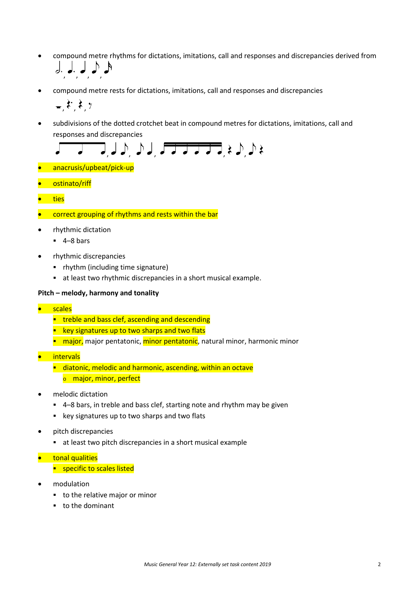- compound metre rhythms for dictations, imitations, call and responses and discrepancies derived from , , , ,
- compound metre rests for dictations, imitations, call and responses and discrepancies

$$
,\mathfrak{k},\mathfrak{k},\tau
$$

• subdivisions of the dotted crotchet beat in compound metres for dictations, imitations, call and responses and discrepancies

$$
\sqrt{1-\sqrt{1-\lambda}}\int d\lambda, \quad \int d\lambda, \quad \sqrt{1-\lambda-\lambda-\lambda-\lambda} \neq \lambda, \quad \lambda \geqslant 0
$$

- anacrusis/upbeat/pick-up
- ostinato/riff
- ties
- correct grouping of rhythms and rests within the bar
- rhythmic dictation
	- $-4-8$  bars
- rhythmic discrepancies
	- rhythm (including time signature)
	- at least two rhythmic discrepancies in a short musical example.

#### **Pitch – melody, harmony and tonality**

- **scales** 
	- **treble and bass clef, ascending and descending**
	- **EXEX** key signatures up to two sharps and two flats
	- **numator**, major pentatonic, minor pentatonic, natural minor, harmonic minor
- intervals
	- **diatonic, melodic and harmonic, ascending, within an octave** 
		- o major, minor, perfect
- melodic dictation
	- 4–8 bars, in treble and bass clef, starting note and rhythm may be given
	- **EXECT:** key signatures up to two sharps and two flats
- pitch discrepancies
	- at least two pitch discrepancies in a short musical example
- **•** tonal qualities
	- **E** specific to scales listed
- modulation
	- to the relative major or minor
	- to the dominant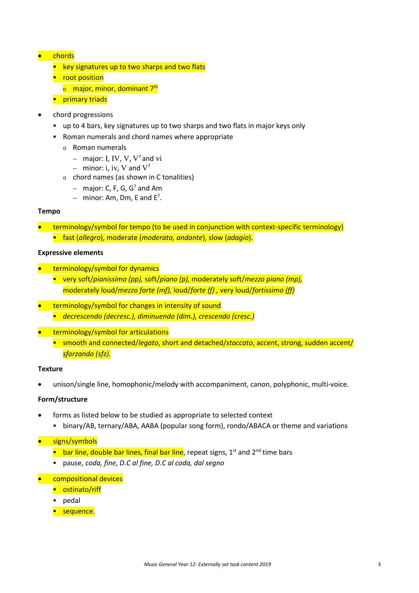#### • chords

- $\blacksquare$  key signatures up to two sharps and two flats
- **•** root position
	- o major, minor, dominant 7<sup>th</sup>
- **Primary triads**
- chord progressions
	- up to 4 bars, key signatures up to two sharps and two flats in major keys only
	- Roman numerals and chord names where appropriate
		- <sup>o</sup> Roman numerals
			- − major: I, IV, V, V7 and vi
			- − minor: i, iv, V and V<sup>7</sup>
		- <sup>o</sup> chord names (as shown in C tonalities)
			- − major: C, F, G, G7 and Am
			- $-$  minor: Am, Dm, E and E<sup>7</sup>.

#### **Tempo**

- terminology/symbol for tempo (to be used in conjunction with context-specific terminology)
	- fast (*allegro*), moderate (*moderato, andante*), slow (*adagio*).

#### **Expressive elements**

- terminology/symbol for dynamics
	- very soft/*pianissimo (pp),* soft/*piano (p),* moderately soft/*mezzo piano (mp),*  moderately loud/*mezzo forte (mf),* loud/*forte (f) ,* very loud/*fortissimo (ff)*
- terminology/symbol for changes in intensity of sound *decrescendo (decresc.), diminuendo (dim.), crescendo (cresc.)*
- terminology/symbol for articulations
	- smooth and connected/*legato*, short and detached/*staccato*, accent, strong, sudden accent/ *sforzando (sfz).*

#### **Texture**

• unison/single line, homophonic/melody with accompaniment, canon, polyphonic, multi-voice.

#### **Form/structure**

- forms as listed below to be studied as appropriate to selected context
	- binary/AB, ternary/ABA, AABA (popular song form), rondo/ABACA or theme and variations

#### • signs/symbols

- **bar line, double bar lines, final bar line, repeat signs,**  $1<sup>st</sup>$  **and**  $2<sup>nd</sup>$  **time bars**
- pause, *coda, fine, D.C al fine, D.C al coda, dal segno*
- compositional devices
	- **•** ostinato/riff
	- **pedal**
	- **sequence.**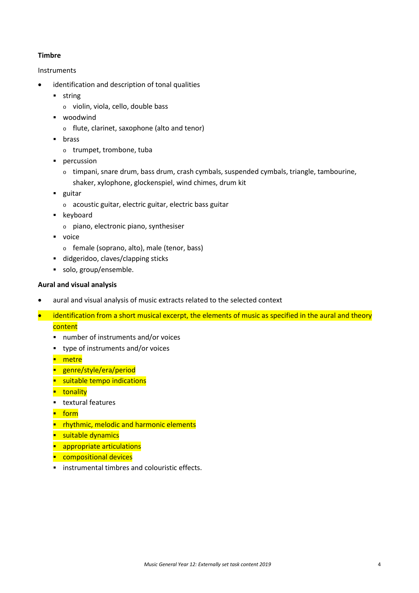#### **Timbre**

#### Instruments

- identification and description of tonal qualities
	- **string** 
		- <sup>o</sup> violin, viola, cello, double bass
	- **•** woodwind
		- <sup>o</sup> flute, clarinet, saxophone (alto and tenor)
	- **u** brass
		- <sup>o</sup> trumpet, trombone, tuba
	- **percussion** 
		- $\circ$  timpani, snare drum, bass drum, crash cymbals, suspended cymbals, triangle, tambourine, shaker, xylophone, glockenspiel, wind chimes, drum kit
	- **guitar** 
		- <sup>o</sup> acoustic guitar, electric guitar, electric bass guitar
	- **EXEC** keyboard
		- <sup>o</sup> piano, electronic piano, synthesiser
	- voice
		- <sup>o</sup> female (soprano, alto), male (tenor, bass)
	- didgeridoo, claves/clapping sticks
	- solo, group/ensemble.

#### **Aural and visual analysis**

- aural and visual analysis of music extracts related to the selected context
- identification from a short musical excerpt, the elements of music as specified in the aural and theory **content** 
	- number of instruments and/or voices
	- type of instruments and/or voices
	- **n**etre
	- **genre/style/era/period**
	- **suitable tempo indications**
	- **u**tonality
	- **textural features**
	- $\blacksquare$  form
	- **P** rhythmic, melodic and harmonic elements
	- **suitable dynamics**
	- **appropriate articulations**
	- **Compositional devices**
	- **EXECUTE:** instrumental timbres and colouristic effects.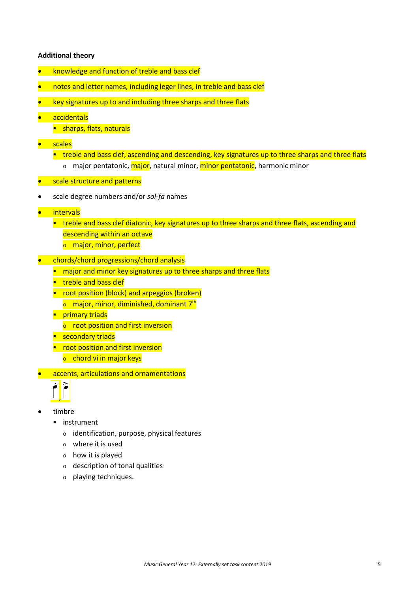#### **Additional theory**

- knowledge and function of treble and bass clef
- notes and letter names, including leger lines, in treble and bass clef
- key signatures up to and including three sharps and three flats
- accidentals
	- **sharps, flats, naturals**
- scales
	- **treble and bass clef, ascending and descending, key signatures up to three sharps and three flats** 
		- o major pentatonic, major, natural minor, minor pentatonic, harmonic minor
- *scale structure and patterns*
- scale degree numbers and/or *sol-fa* names
- intervals
	- **treble and bass clef diatonic, key signatures up to three sharps and three flats, ascending and** descending within an octave
		- **o** major, minor, perfect
- chords/chord progressions/chord analysis
	- **n** major and minor key signatures up to three sharps and three flats
	- **treble and bass clef**
	- **•** root position (block) and arpeggios (broken)
		- $\circ$  major, minor, diminished, dominant 7<sup>th</sup>
	- **Primary triads** 
		- $\circ$  root position and first inversion
	- **E** secondary triads
	- **P** root position and first inversion
		- $\circ$  chord vi in major keys
- accents, articulations and ornamentations



- timbre
	- **·** instrument
		- <sup>o</sup> identification, purpose, physical features
		- <sup>o</sup> where it is used
		- <sup>o</sup> how it is played
		- <sup>o</sup> description of tonal qualities
		- <sup>o</sup> playing techniques.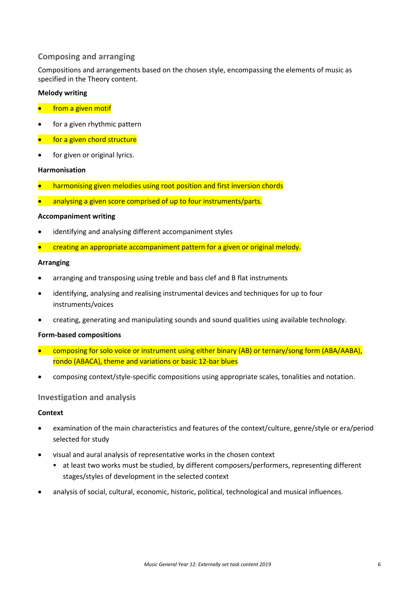#### **Composing and arranging**

Compositions and arrangements based on the chosen style, encompassing the elements of music as specified in the Theory content.

#### **Melody writing**

- **•** from a given motif
- for a given rhythmic pattern
- for a given chord structure
- for given or original lyrics.

#### **Harmonisation**

- harmonising given melodies using root position and first inversion chords
- analysing a given score comprised of up to four instruments/parts.

#### **Accompaniment writing**

- identifying and analysing different accompaniment styles
- creating an appropriate accompaniment pattern for a given or original melody.

#### **Arranging**

- arranging and transposing using treble and bass clef and B flat instruments
- identifying, analysing and realising instrumental devices and techniques for up to four instruments/voices
- creating, generating and manipulating sounds and sound qualities using available technology.

#### **Form-based compositions**

- composing for solo voice or instrument using either binary (AB) or ternary/song form (ABA/AABA), rondo (ABACA), theme and variations or basic 12-bar blues
- composing context/style-specific compositions using appropriate scales, tonalities and notation.

#### **Investigation and analysis**

#### **Context**

- examination of the main characteristics and features of the context/culture, genre/style or era/period selected for study
- visual and aural analysis of representative works in the chosen context
	- at least two works must be studied, by different composers/performers, representing different stages/styles of development in the selected context
- analysis of social, cultural, economic, historic, political, technological and musical influences.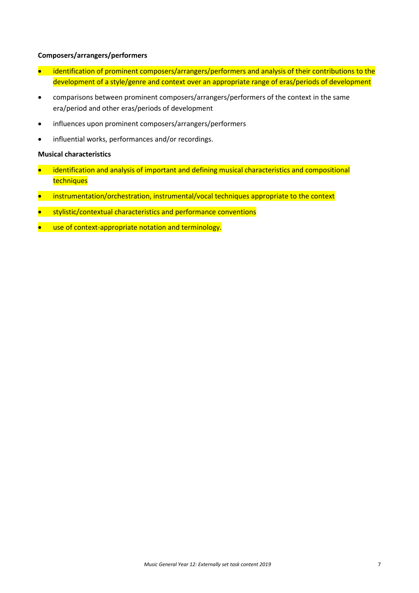#### **Composers/arrangers/performers**

- identification of prominent composers/arrangers/performers and analysis of their contributions to the development of a style/genre and context over an appropriate range of eras/periods of development
- comparisons between prominent composers/arrangers/performers of the context in the same era/period and other eras/periods of development
- influences upon prominent composers/arrangers/performers
- influential works, performances and/or recordings.

#### **Musical characteristics**

- identification and analysis of important and defining musical characteristics and compositional techniques
- instrumentation/orchestration, instrumental/vocal techniques appropriate to the context
- stylistic/contextual characteristics and performance conventions
- use of context-appropriate notation and terminology.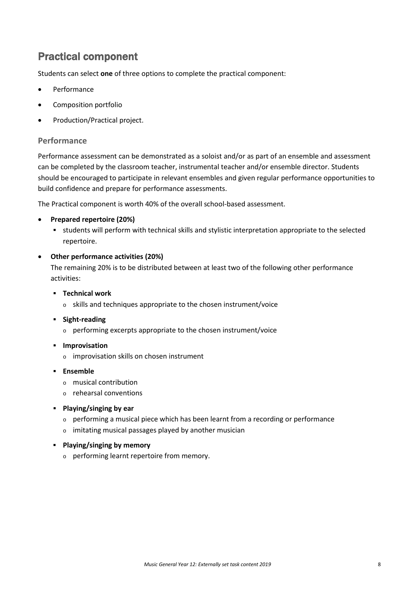### Practical component

Students can select **one** of three options to complete the practical component:

- **Performance**
- Composition portfolio
- Production/Practical project.

#### **Performance**

Performance assessment can be demonstrated as a soloist and/or as part of an ensemble and assessment can be completed by the classroom teacher, instrumental teacher and/or ensemble director. Students should be encouraged to participate in relevant ensembles and given regular performance opportunities to build confidence and prepare for performance assessments.

The Practical component is worth 40% of the overall school-based assessment.

#### • **Prepared repertoire (20%)**

 students will perform with technical skills and stylistic interpretation appropriate to the selected repertoire.

#### • **Other performance activities (20%)**

The remaining 20% is to be distributed between at least two of the following other performance activities:

- **Technical work**
	- <sup>o</sup> skills and techniques appropriate to the chosen instrument/voice
- **Fight-reading** 
	- <sup>o</sup> performing excerpts appropriate to the chosen instrument/voice
- **Improvisation** 
	- <sup>o</sup> improvisation skills on chosen instrument
- **Ensemble**
	- <sup>o</sup> musical contribution
	- <sup>o</sup> rehearsal conventions
- **Playing/singing by ear**
	- <sup>o</sup> performing a musical piece which has been learnt from a recording or performance
	- <sup>o</sup> imitating musical passages played by another musician
- **Playing/singing by memory**
	- <sup>o</sup> performing learnt repertoire from memory.